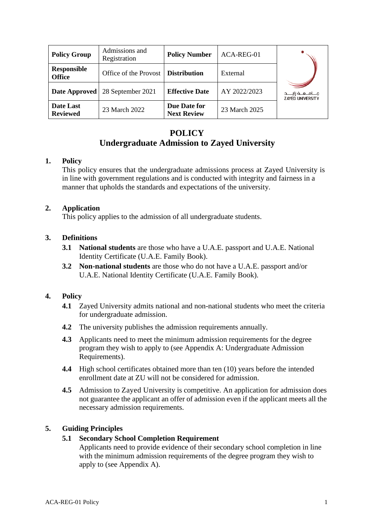| <b>Policy Group</b>                 | Admissions and<br>Registration       | <b>Policy Number</b>               | ACA-REG-01    |                                                    |
|-------------------------------------|--------------------------------------|------------------------------------|---------------|----------------------------------------------------|
| <b>Responsible</b><br><b>Office</b> | Office of the Provost   Distribution |                                    | External      |                                                    |
| Date Approved                       | 28 September 2021                    | <b>Effective Date</b>              | AY 2022/2023  | مــــامـــــه زايـــــد<br><b>ZAYED UNIVERSITY</b> |
| Date Last<br><b>Reviewed</b>        | 23 March 2022                        | Due Date for<br><b>Next Review</b> | 23 March 2025 |                                                    |

# **POLICY**

# **Undergraduate Admission to Zayed University**

## **1. Policy**

This policy ensures that the undergraduate admissions process at Zayed University is in line with government regulations and is conducted with integrity and fairness in a manner that upholds the standards and expectations of the university.

## **2. Application**

This policy applies to the admission of all undergraduate students.

## **3. Definitions**

- **3.1 National students** are those who have a U.A.E. passport and U.A.E. National Identity Certificate (U.A.E. Family Book).
- **3.2 Non-national students** are those who do not have a U.A.E. passport and/or U.A.E. National Identity Certificate (U.A.E. Family Book).

## **4. Policy**

- **4.1** Zayed University admits national and non-national students who meet the criteria for undergraduate admission.
- **4.2** The university publishes the admission requirements annually.
- **4.3** Applicants need to meet the minimum admission requirements for the degree program they wish to apply to (see Appendix A: Undergraduate Admission Requirements).
- **4.4** High school certificates obtained more than ten (10) years before the intended enrollment date at ZU will not be considered for admission.
- **4.5** Admission to Zayed University is competitive. An application for admission does not guarantee the applicant an offer of admission even if the applicant meets all the necessary admission requirements.

## **5. Guiding Principles**

### **5.1 Secondary School Completion Requirement**

Applicants need to provide evidence of their secondary school completion in line with the minimum admission requirements of the degree program they wish to apply to (see Appendix A).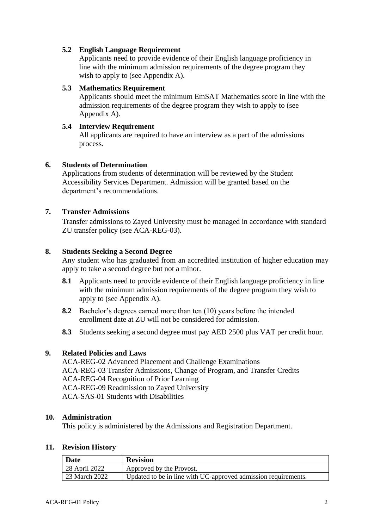### **5.2 English Language Requirement**

Applicants need to provide evidence of their English language proficiency in line with the minimum admission requirements of the degree program they wish to apply to (see Appendix A).

#### **5.3 Mathematics Requirement**

Applicants should meet the minimum EmSAT Mathematics score in line with the admission requirements of the degree program they wish to apply to (see Appendix A).

#### **5.4 Interview Requirement**

All applicants are required to have an interview as a part of the admissions process.

#### **6. Students of Determination**

Applications from students of determination will be reviewed by the Student Accessibility Services Department. Admission will be granted based on the department's recommendations.

#### **7. Transfer Admissions**

Transfer admissions to Zayed University must be managed in accordance with standard ZU transfer policy (see ACA-REG-03).

#### **8. Students Seeking a Second Degree**

Any student who has graduated from an accredited institution of higher education may apply to take a second degree but not a minor.

- **8.1** Applicants need to provide evidence of their English language proficiency in line with the minimum admission requirements of the degree program they wish to apply to (see Appendix A).
- **8.2** Bachelor's degrees earned more than ten (10) years before the intended enrollment date at ZU will not be considered for admission.
- **8.3** Students seeking a second degree must pay AED 2500 plus VAT per credit hour.

### **9. Related Policies and Laws**

ACA-REG-02 Advanced Placement and Challenge Examinations ACA-REG-03 Transfer Admissions, Change of Program, and Transfer Credits ACA-REG-04 Recognition of Prior Learning ACA-REG-09 Readmission to Zayed University ACA-SAS-01 Students with Disabilities

#### **10. Administration**

This policy is administered by the Admissions and Registration Department.

#### **11. Revision History**

| Date          | <b>Revision</b>                                                |
|---------------|----------------------------------------------------------------|
| 28 April 2022 | Approved by the Provost.                                       |
| 23 March 2022 | Updated to be in line with UC-approved admission requirements. |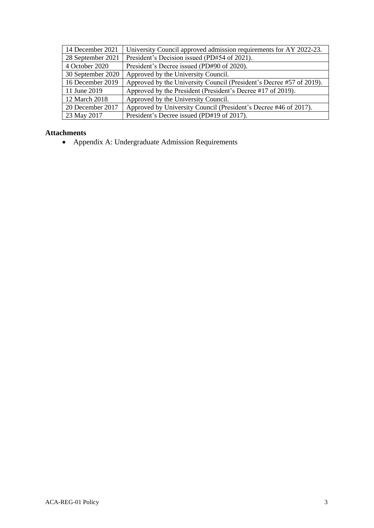| 14 December 2021  | University Council approved admission requirements for AY 2022-23.   |
|-------------------|----------------------------------------------------------------------|
| 28 September 2021 | President's Decision issued (PD#54 of 2021).                         |
| 4 October 2020    | President's Decree issued (PD#90 of 2020).                           |
| 30 September 2020 | Approved by the University Council.                                  |
| 16 December 2019  | Approved by the University Council (President's Decree #57 of 2019). |
| 11 June 2019      | Approved by the President (President's Decree #17 of 2019).          |
| 12 March 2018     | Approved by the University Council.                                  |
| 20 December 2017  | Approved by University Council (President's Decree #46 of 2017).     |
| 23 May 2017       | President's Decree issued (PD#19 of 2017).                           |

#### **Attachments**

• Appendix A: Undergraduate Admission Requirements